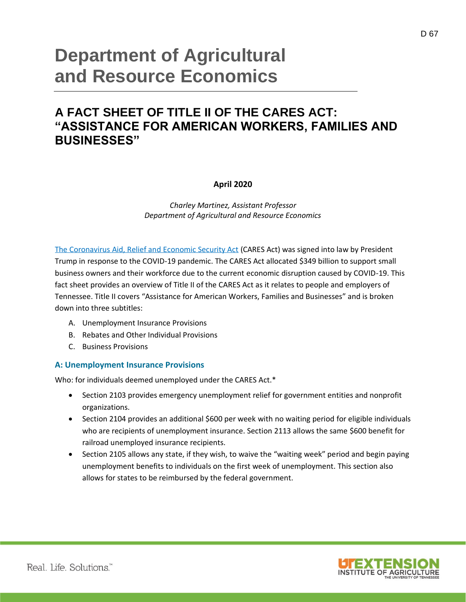# **Department of Agricultural and Resource Economics**

## **A FACT SHEET OF TITLE II OF THE CARES ACT: "ASSISTANCE FOR AMERICAN WORKERS, FAMILIES AND BUSINESSES"**

#### **April 2020**

*Charley Martinez, Assistant Professor Department of Agricultural and Resource Economics*

[The Coronavirus Aid, Relief and Economic Security Act](https://www.documentcloud.org/documents/6819239-FINAL-FINAL-CARES-ACT.html) (CARES Act) was signed into law by President Trump in response to the COVID-19 pandemic. The CARES Act allocated \$349 billion to support small business owners and their workforce due to the current economic disruption caused by COVID-19. This fact sheet provides an overview of Title II of the CARES Act as it relates to people and employers of Tennessee. Title II covers "Assistance for American Workers, Families and Businesses" and is broken down into three subtitles:

- A. Unemployment Insurance Provisions
- B. Rebates and Other Individual Provisions
- C. Business Provisions

#### **A: Unemployment Insurance Provisions**

Who: for individuals deemed unemployed under the CARES Act.\*

- Section 2103 provides emergency unemployment relief for government entities and nonprofit organizations.
- Section 2104 provides an additional \$600 per week with no waiting period for eligible individuals who are recipients of unemployment insurance. Section 2113 allows the same \$600 benefit for railroad unemployed insurance recipients.
- Section 2105 allows any state, if they wish, to waive the "waiting week" period and begin paying unemployment benefits to individuals on the first week of unemployment. This section also allows for states to be reimbursed by the federal government.

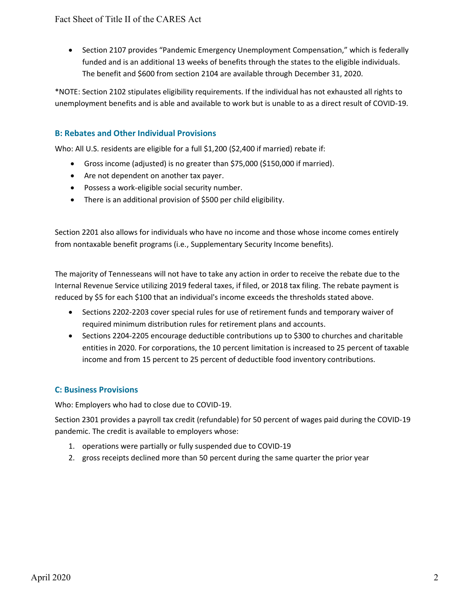• Section 2107 provides "Pandemic Emergency Unemployment Compensation," which is federally funded and is an additional 13 weeks of benefits through the states to the eligible individuals. The benefit and \$600 from section 2104 are available through December 31, 2020.

\*NOTE: Section 2102 stipulates eligibility requirements. If the individual has not exhausted all rights to unemployment benefits and is able and available to work but is unable to as a direct result of COVID-19.

### **B: Rebates and Other Individual Provisions**

Who: All U.S. residents are eligible for a full \$1,200 (\$2,400 if married) rebate if:

- Gross income (adjusted) is no greater than \$75,000 (\$150,000 if married).
- Are not dependent on another tax payer.
- Possess a work-eligible social security number.
- There is an additional provision of \$500 per child eligibility.

Section 2201 also allows for individuals who have no income and those whose income comes entirely from nontaxable benefit programs (i.e., Supplementary Security Income benefits).

The majority of Tennesseans will not have to take any action in order to receive the rebate due to the Internal Revenue Service utilizing 2019 federal taxes, if filed, or 2018 tax filing. The rebate payment is reduced by \$5 for each \$100 that an individual's income exceeds the thresholds stated above.

- Sections 2202-2203 cover special rules for use of retirement funds and temporary waiver of required minimum distribution rules for retirement plans and accounts.
- Sections 2204-2205 encourage deductible contributions up to \$300 to churches and charitable entities in 2020. For corporations, the 10 percent limitation is increased to 25 percent of taxable income and from 15 percent to 25 percent of deductible food inventory contributions.

### **C: Business Provisions**

Who: Employers who had to close due to COVID-19.

Section 2301 provides a payroll tax credit (refundable) for 50 percent of wages paid during the COVID-19 pandemic. The credit is available to employers whose:

- 1. operations were partially or fully suspended due to COVID-19
- 2. gross receipts declined more than 50 percent during the same quarter the prior year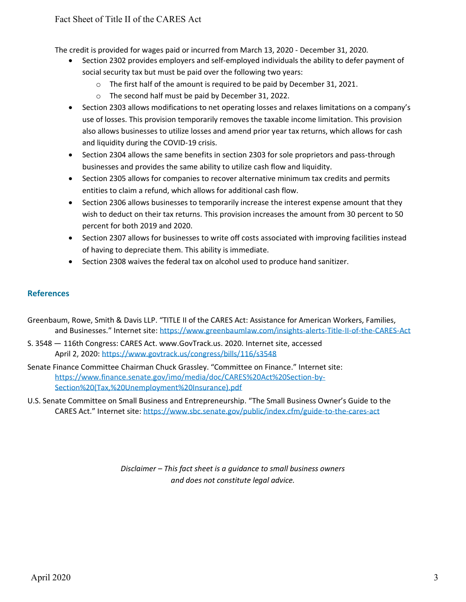The credit is provided for wages paid or incurred from March 13, 2020 - December 31, 2020.

- Section 2302 provides employers and self-employed individuals the ability to defer payment of social security tax but must be paid over the following two years:
	- o The first half of the amount is required to be paid by December 31, 2021.
	- o The second half must be paid by December 31, 2022.
- Section 2303 allows modifications to net operating losses and relaxes limitations on a company's use of losses. This provision temporarily removes the taxable income limitation. This provision also allows businesses to utilize losses and amend prior year tax returns, which allows for cash and liquidity during the COVID-19 crisis.
- Section 2304 allows the same benefits in section 2303 for sole proprietors and pass-through businesses and provides the same ability to utilize cash flow and liquidity.
- Section 2305 allows for companies to recover alternative minimum tax credits and permits entities to claim a refund, which allows for additional cash flow.
- Section 2306 allows businesses to temporarily increase the interest expense amount that they wish to deduct on their tax returns. This provision increases the amount from 30 percent to 50 percent for both 2019 and 2020.
- Section 2307 allows for businesses to write off costs associated with improving facilities instead of having to depreciate them. This ability is immediate.
- Section 2308 waives the federal tax on alcohol used to produce hand sanitizer.

#### **References**

- Greenbaum, Rowe, Smith & Davis LLP. "TITLE II of the CARES Act: Assistance for American Workers, Families, and Businesses." Internet site: [https://www.greenbaumlaw.com/insights-alerts-Title-II-of-the-CARES-Act](https://www.greenbaumlaw.com/insights-alerts-Title-II-of-the-CARES-Act.html)
- S. 3548 116th Congress: CARES Act. www.GovTrack.us. 2020. Internet site, accessed April 2, 2020: <https://www.govtrack.us/congress/bills/116/s3548>
- Senate Finance Committee Chairman Chuck Grassley. "Committee on Finance." Internet site: [https://www.finance.senate.gov/imo/media/doc/CARES%20Act%20Section-by-](https://www.finance.senate.gov/imo/media/doc/CARES%20Act%20Section-by-Section%20(Tax,%20Unemployment%20Insurance).pdf)[Section%20\(Tax,%20Unemployment%20Insurance\).pdf](https://www.finance.senate.gov/imo/media/doc/CARES%20Act%20Section-by-Section%20(Tax,%20Unemployment%20Insurance).pdf)
- U.S. Senate Committee on Small Business and Entrepreneurship. "The Small Business Owner's Guide to the CARES Act." Internet site:<https://www.sbc.senate.gov/public/index.cfm/guide-to-the-cares-act>

*Disclaimer – This fact sheet is a guidance to small business owners and does not constitute legal advice.*